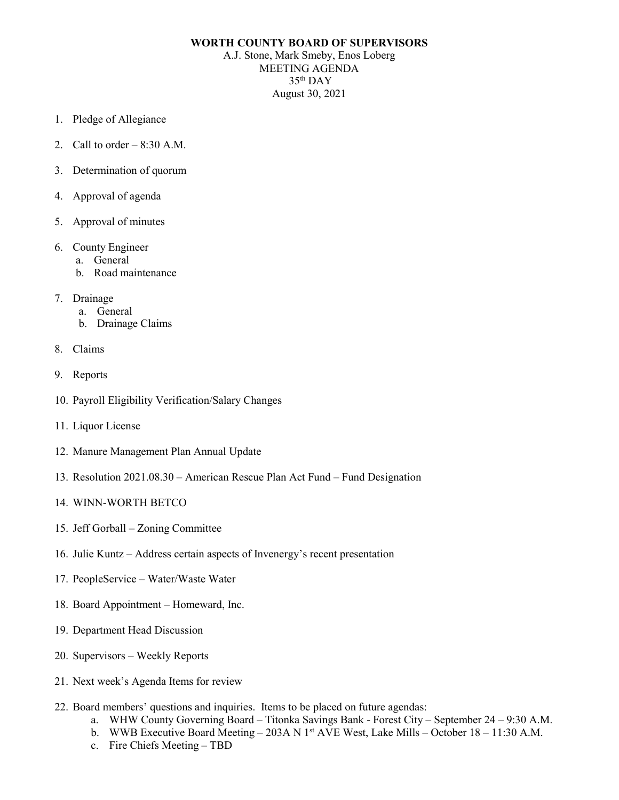## **WORTH COUNTY BOARD OF SUPERVISORS**

A.J. Stone, Mark Smeby, Enos Loberg MEETING AGENDA 35th DAY August 30, 2021

- 1. Pledge of Allegiance
- 2. Call to order  $-8:30$  A.M.
- 3. Determination of quorum
- 4. Approval of agenda
- 5. Approval of minutes
- 6. County Engineer
	- a. General
	- b. Road maintenance
- 7. Drainage
	- a. General
	- b. Drainage Claims
- 8. Claims
- 9. Reports
- 10. Payroll Eligibility Verification/Salary Changes
- 11. Liquor License
- 12. Manure Management Plan Annual Update
- 13. Resolution 2021.08.30 American Rescue Plan Act Fund Fund Designation
- 14. WINN-WORTH BETCO
- 15. Jeff Gorball Zoning Committee
- 16. Julie Kuntz Address certain aspects of Invenergy's recent presentation
- 17. PeopleService Water/Waste Water
- 18. Board Appointment Homeward, Inc.
- 19. Department Head Discussion
- 20. Supervisors Weekly Reports
- 21. Next week's Agenda Items for review
- 22. Board members' questions and inquiries. Items to be placed on future agendas:
	- a. WHW County Governing Board Titonka Savings Bank Forest City September 24 9:30 A.M.
	- b. WWB Executive Board Meeting 203A N 1<sup>st</sup> AVE West, Lake Mills October 18 11:30 A.M.
	- c. Fire Chiefs Meeting TBD